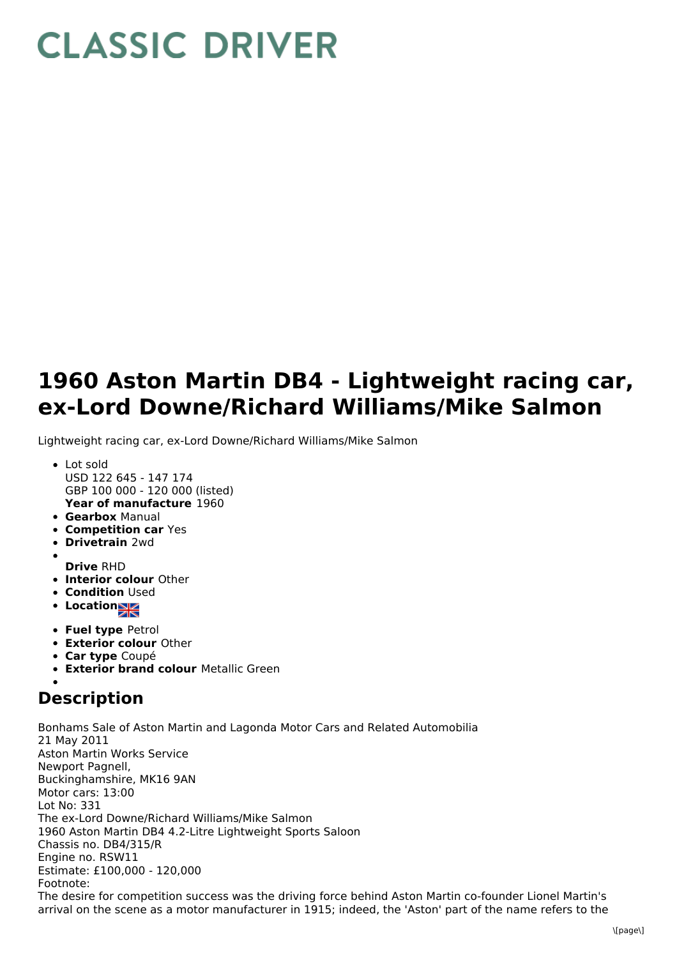## **CLASSIC DRIVER**

## **1960 Aston Martin DB4 - Lightweight racing car, ex-Lord Downe/Richard Williams/Mike Salmon**

Lightweight racing car, ex-Lord Downe/Richard Williams/Mike Salmon

- **Year of manufacture** 1960 Lot sold USD 122 645 - 147 174 GBP 100 000 - 120 000 (listed)
- **Gearbox** Manual
- **Competition car** Yes
- **Drivetrain** 2wd
- **Drive** RHD
- **Interior colour** Other
- **Condition Used**
- **•** Location
- **Fuel type** Petrol
- **Exterior colour** Other
- **Car type** Coupé
- **Exterior brand colour** Metallic Green

## **Description**

Bonhams Sale of Aston Martin and Lagonda Motor Cars and Related Automobilia 21 May 2011 Aston Martin Works Service Newport Pagnell, Buckinghamshire, MK16 9AN Motor cars: 13:00 Lot No: 331 The ex-Lord Downe/Richard Williams/Mike Salmon 1960 Aston Martin DB4 4.2-Litre Lightweight Sports Saloon Chassis no. DB4/315/R Engine no. RSW11 Estimate: £100,000 - 120,000 Footnote: The desire for competition success was the driving force behind Aston Martin co-founder Lionel Martin's arrival on the scene as a motor manufacturer in 1915; indeed, the 'Aston' part of the name refers to the